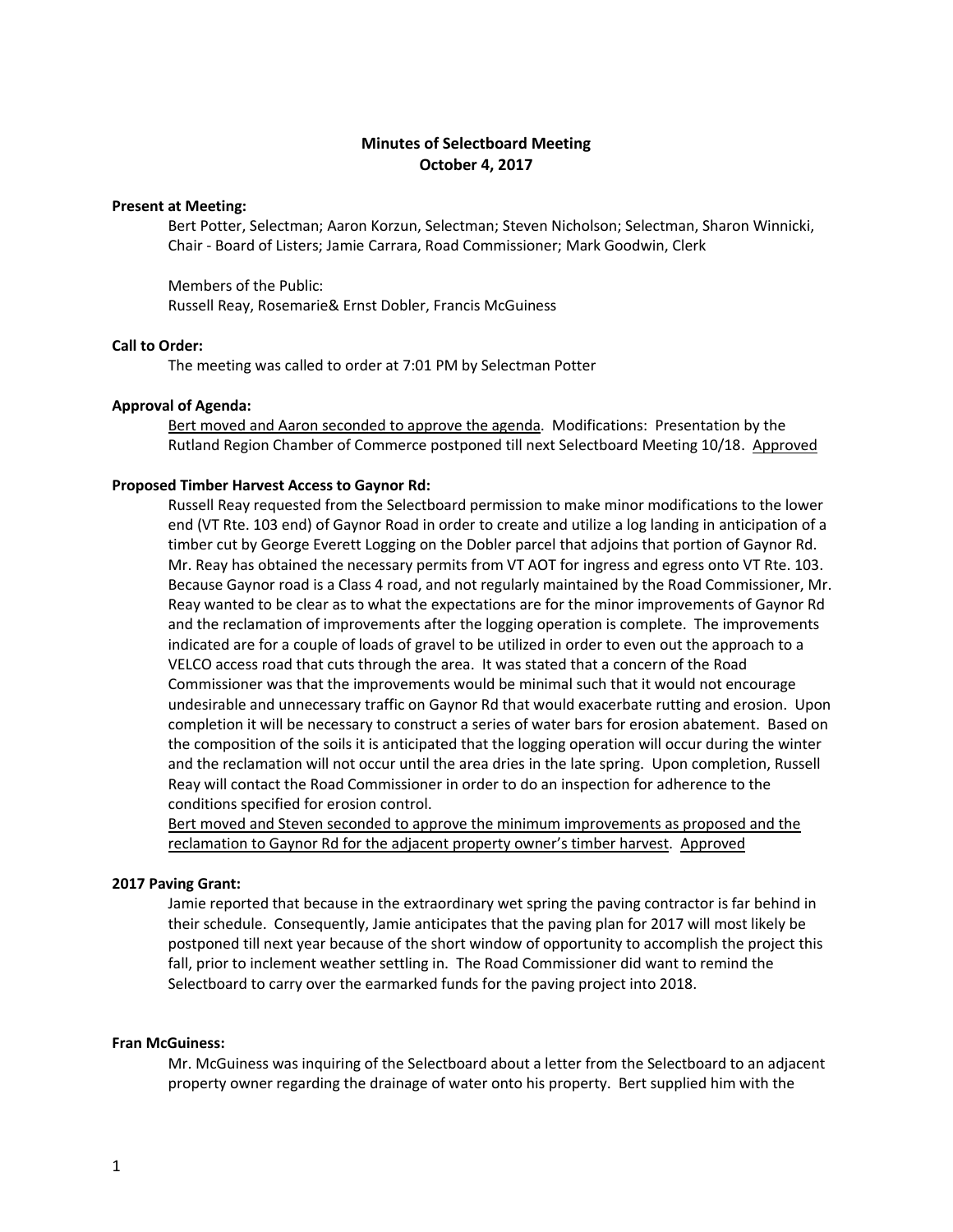# **Minutes of Selectboard Meeting October 4, 2017**

# **Present at Meeting:**

Bert Potter, Selectman; Aaron Korzun, Selectman; Steven Nicholson; Selectman, Sharon Winnicki, Chair - Board of Listers; Jamie Carrara, Road Commissioner; Mark Goodwin, Clerk

Members of the Public: Russell Reay, Rosemarie& Ernst Dobler, Francis McGuiness

# **Call to Order:**

The meeting was called to order at 7:01 PM by Selectman Potter

### **Approval of Agenda:**

Bert moved and Aaron seconded to approve the agenda. Modifications: Presentation by the Rutland Region Chamber of Commerce postponed till next Selectboard Meeting 10/18. Approved

#### **Proposed Timber Harvest Access to Gaynor Rd:**

Russell Reay requested from the Selectboard permission to make minor modifications to the lower end (VT Rte. 103 end) of Gaynor Road in order to create and utilize a log landing in anticipation of a timber cut by George Everett Logging on the Dobler parcel that adjoins that portion of Gaynor Rd. Mr. Reay has obtained the necessary permits from VT AOT for ingress and egress onto VT Rte. 103. Because Gaynor road is a Class 4 road, and not regularly maintained by the Road Commissioner, Mr. Reay wanted to be clear as to what the expectations are for the minor improvements of Gaynor Rd and the reclamation of improvements after the logging operation is complete. The improvements indicated are for a couple of loads of gravel to be utilized in order to even out the approach to a VELCO access road that cuts through the area. It was stated that a concern of the Road Commissioner was that the improvements would be minimal such that it would not encourage undesirable and unnecessary traffic on Gaynor Rd that would exacerbate rutting and erosion. Upon completion it will be necessary to construct a series of water bars for erosion abatement. Based on the composition of the soils it is anticipated that the logging operation will occur during the winter and the reclamation will not occur until the area dries in the late spring. Upon completion, Russell Reay will contact the Road Commissioner in order to do an inspection for adherence to the conditions specified for erosion control.

Bert moved and Steven seconded to approve the minimum improvements as proposed and the reclamation to Gaynor Rd for the adjacent property owner's timber harvest. Approved

#### **2017 Paving Grant:**

Jamie reported that because in the extraordinary wet spring the paving contractor is far behind in their schedule. Consequently, Jamie anticipates that the paving plan for 2017 will most likely be postponed till next year because of the short window of opportunity to accomplish the project this fall, prior to inclement weather settling in. The Road Commissioner did want to remind the Selectboard to carry over the earmarked funds for the paving project into 2018.

## **Fran McGuiness:**

Mr. McGuiness was inquiring of the Selectboard about a letter from the Selectboard to an adjacent property owner regarding the drainage of water onto his property. Bert supplied him with the